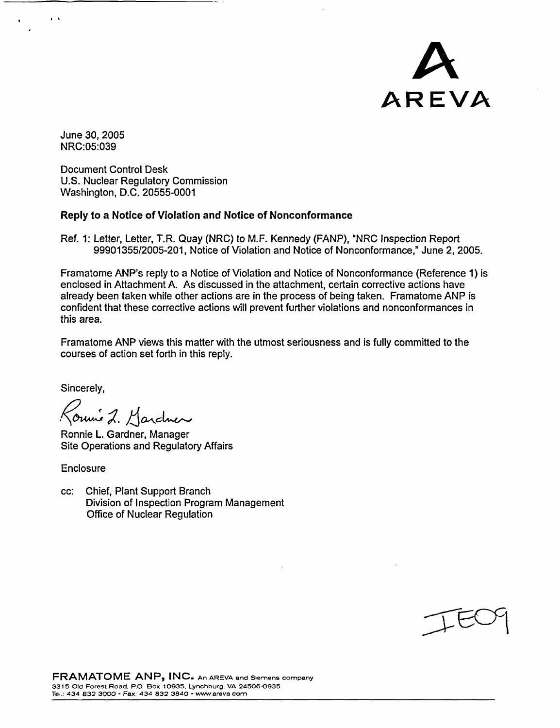

June 30, 2005 NRC:05:039

. I

Document Control Desk U.S. Nuclear Regulatory Commission Washington, D.C. 20555-0001

## **Reply to a Notice of Violation and Notice of Nonconformance**

Ref. 1: Letter, Letter, T.R. Quay (NRC) to M.F. Kennedy (FANP), "NRC Inspection Report 99901355/2005-201, Notice of Violation and Notice of Nonconformance,' June 2, 2005.

Framatome ANP's reply to a Notice of Violation and Notice of Nonconformance (Reference 1) is enclosed in Attachment A. As discussed in the attachment, certain corrective actions have already been taken while other actions are in the process of being taken. Framatome ANP is confident that these corrective actions will prevent further violations and nonconformances in this area.

Framatome ANP views this matter with the utmost seriousness and is fully committed to the courses of action set forth in this reply.

Sincerely,

Konnie 2. Marchen

Ronnie L. Gardner, Manager Site Operations and Regulatory Affairs

Enclosure

cc: Chief, Plant Support Branch Division of Inspection Program Management Office of Nuclear Regulation

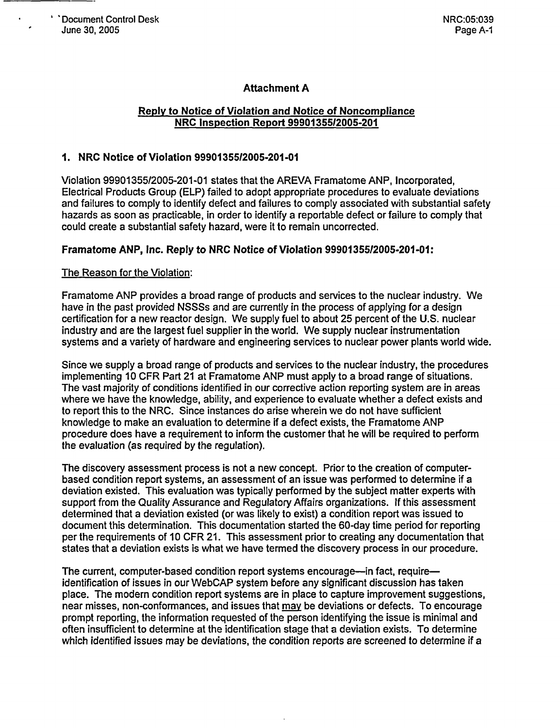# **Attachment A**

### Reply to Notice of Violation and Notice of Noncompliance NRC Inspection Report 9990135512005-201

## 1. NRC Notice of Violation 99901355/2005-201-01

Violation 99901355/2005-201-01 states that the AREVA Framatome ANP, Incorporated, Electrical Products Group (ELP) failed to adopt appropriate procedures to evaluate deviations and failures to comply to identify defect and failures to comply associated with substantial safety hazards as soon as practicable, in order to identify a reportable defect or failure to comply that could create a substantial safety hazard, were it to remain uncorrected.

#### **Framatome ANP, Inc. Reply to NRC Notice of Violation 99901355/2005-201-01:**

#### The Reason for the Violation:

Framatome ANP provides a broad range of products and services to the nuclear industry. We have in the past provided NSSSs and are currently in the process of applying for a design certification for a new reactor design. We supply fuel to about 25 percent of the U.S. nuclear industry and are the largest fuel supplier in the world. We supply nuclear instrumentation systems and a variety of hardware and engineering services to nuclear power plants world wide.

Since we supply a broad range of products and services to the nuclear industry, the procedures implementing 10 CFR Part 21 at Framatome ANP must apply to a broad range of situations. The vast majority of conditions identified in our corrective action reporting system are in areas where we have the knowledge, ability, and experience to evaluate whether a defect exists and to report this to the NRC. Since instances do arise wherein we do not have sufficient knowledge to make an evaluation to determine if a defect exists, the Framatome ANP procedure does have a requirement to inform the customer that he will be required to perform the evaluation (as required by the regulation).

The discovery assessment process is not a new concept. Prior to the creation of computerbased condition report systems, an assessment of an issue was performed to determine if a deviation existed. This evaluation was typically performed by the subject matter experts with support from the Quality Assurance and Regulatory Affairs organizations. If this assessment determined that a deviation existed (or was likely to exist) a condition report was issued to document this determination. This documentation started the 60-day time period for reporting per the requirements of 10 CFR 21. This assessment prior to creating any documentation that states that a deviation exists is what we have termed the discovery process in our procedure.

The current, computer-based condition report systems encourage—in fact, require identification of issues in our WebCAP system before any significant discussion has taken place. The modern condition report systems are in place to capture improvement suggestions, near misses, non-conformances, and issues that may be deviations or defects. To encourage prompt reporting, the information requested of the person identifying the issue is minimal and often insufficient to determine at the identification stage that a deviation exists. To determine which identified issues may be deviations, the condition reports are screened to determine if a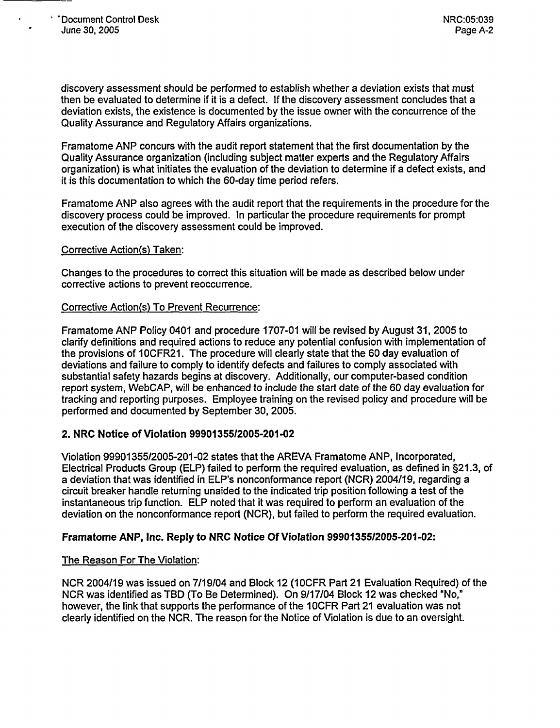discovery assessment should be performed to establish whether a deviation exists that must then be evaluated to determine if it is a defect. If the discovery assessment concludes that a deviation exists, the existence is documented by the issue owner with the concurrence of the Quality Assurance and Regulatory Affairs organizations.

Framatome ANP concurs with the audit report statement that the first documentation by the Quality Assurance organization (including subject matter experts and the Regulatory Affairs organization) is what initiates the evaluation of the deviation to determine if a defect exists, and it is this documentation to which the 60-day time period refers.

Framatome ANP also agrees with the audit report that the requirements in the procedure for the discovery process could be improved. In particular the procedure requirements for prompt execution of the discovery assessment could be improved.

#### Corrective Action(s) Taken:

Changes to the procedures to correct this situation will be made as described below under corrective actions to prevent reoccurrence.

#### Corrective Action(s) To Prevent Recurrence:

Framatome ANP Policy 0401 and procedure 1707-01 will be revised by August 31, 2005 to clarify definitions and required actions to reduce any potential confusion with implementation of the provisions of 10CFR21. The procedure will clearly state that the 60 day evaluation of deviations and failure to comply to identify defects and failures to comply associated with substantial safety hazards begins at discovery. Additionally, our computer-based condition report system, WebCAP, will be enhanced to include the start date of the 60 day evaluation for tracking and reporting purposes. Employee training on the revised policy and procedure will be performed and documented by September 30, 2005.

#### **2. NRC Notice of Violation 9990135512005-201-02**

Violation 99901355/2005-201-02 states that the AREVA Framatome ANP, Incorporated, Electrical Products Group (ELP) failed to perform the required evaluation, as defined in §21.3, of a deviation that was identified in ELP's nonconformance report (NCR) 2004/19, regarding a circuit breaker handle returning unaided to the indicated trip position following a test of the instantaneous trip function. ELP noted that it was required to perform an evaluation of the deviation on the nonconformance report (NCR), but failed to perform the required evaluation.

#### **Framatome ANP, Inc. Reply to NRC Notice Of Violation 99901355/2005-201-02:**

#### The Reason For The Violation:

NCR 2004/19 was issued on 7/19/04 and Block 12 (10CFR Part 21 Evaluation Required) of the NCR was identified as TBD (To Be Determined). On 9/17/04 Block 12 was checked "No," however, the link that supports the performance of the IOCFR Part 21 evaluation was not clearly identified on the NCR. The reason for the Notice of Violation is due to an oversight.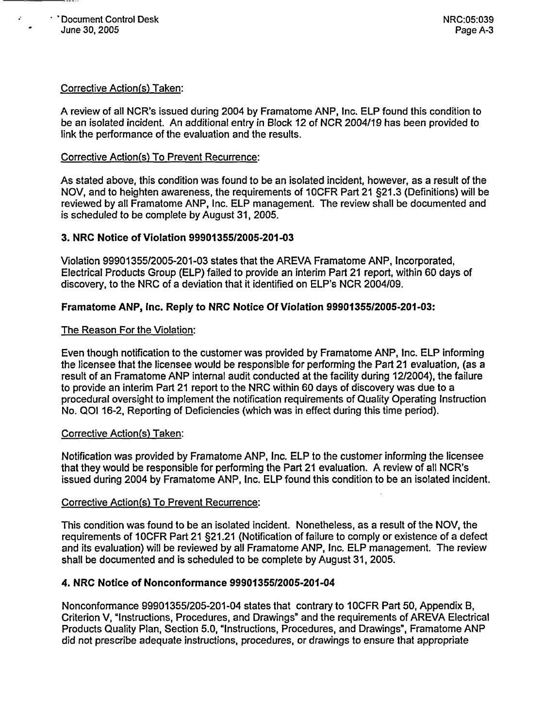$\ddot{\cdot}$ 

## Corrective Action(s) Taken:

A review of all NCR's issued during 2004 by Framatome ANP, Inc. ELP found this condition to be an isolated incident. An additional entry in Block 12 of NCR 2004/19 has been provided to link the performance of the evaluation and the results.

#### Corrective Action(s) To Prevent Recurrence:

As stated above, this condition was found to be an isolated incident, however, as a result of the NOV, and to heighten awareness, the requirements of 1 OCFR Part 21 §21.3 (Definitions) will be reviewed by all Framatome ANP, Inc. ELP management. The review shall be documented and is scheduled to be complete by August 31, 2005.

## **3. NRC Notice** of Violation **9990135512005-201-03**

Violation 99901355/2005-201-03 states that the AREVA Framatome ANP, Incorporated, Electrical Products Group (ELP) failed to provide an interim Part 21 report, within 60 days of discovery, to the NRC of a deviation that it identified on ELP's NCR 2004/09.

## **Framatome ANP, Inc. Reply to NRC Notice** Of Violation **9990135512005-201-03:**

## The Reason For the Violation:

Even though notification to the customer was provided by Framatome ANP, Inc. ELP informing the licensee that the licensee would be responsible for performing the Part 21 evaluation, (as a result of an Framatome ANP internal audit conducted at the facility during 12/2004), the failure to provide an interim Part 21 report to the NRC within 60 days of discovery was due to a procedural oversight to implement the notification requirements of Quality Operating Instruction No. QOI 16-2, Reporting of Deficiencies (which was in effect during this time period).

#### Corrective Action(s) Taken:

Notification was provided by Framatome ANP, Inc. ELP to the customer informing the licensee that they would be responsible for performing the Part 21 evaluation. A review of all NCR's issued during 2004 by Framatome ANP, Inc. ELP found this condition to be an isolated incident.

#### Corrective Action(s) To Prevent Recurrence:

This condition was found to be an isolated incident. Nonetheless, as a result of the NOV, the requirements of 10CFR Part 21 §21.21 (Notification of failure to comply or existence of a defect and its evaluation) will be reviewed by all Framatome ANP, Inc. ELP management. The review shall be documented and is scheduled to be complete by August 31, 2005.

#### **4. NRC Notice of Nonconformance 9990135512005-201-04**

Nonconformance 99901355/205-201-04 states that contrary to 10CFR Part 50, Appendix B, Criterion V, "Instructions, Procedures, and Drawings" and the requirements of AREVA Electrical Products Quality Plan, Section 5.0, "Instructions, Procedures, and Drawings", Framatome ANP did not prescribe adequate instructions, procedures, or drawings to ensure that appropriate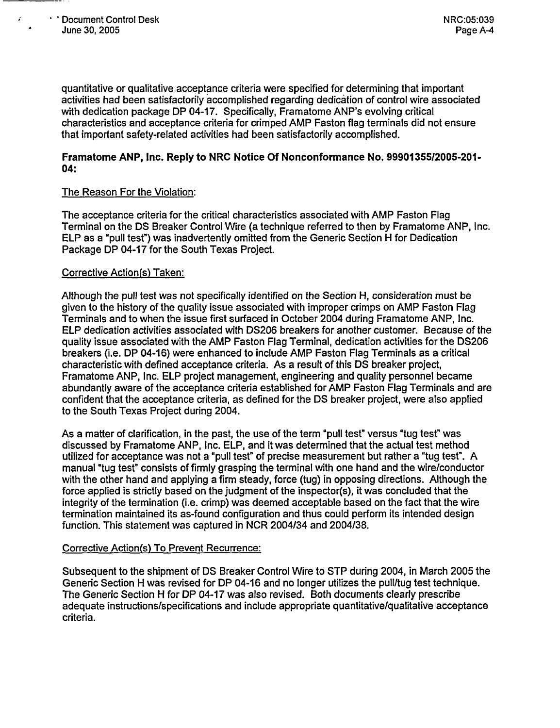$\mathbf{r}$ 

quantitative or qualitative acceptance criteria were specified for determining that important activities had been satisfactorily accomplished regarding dedication of control wire associated with dedication package DP 04-17. Specifically, Framatome ANP's evolving critical characteristics and acceptance criteria for crimped AMP Faston flag terminals did not ensure that important safety-related activities had been satisfactorily accomplished.

### **Framatome ANP, Inc. Reply to NRC Notice Of Nonconformance No. 9990135512005-201- 04:**

## The Reason For the Violation:

The acceptance criteria for the critical characteristics associated with AMP Faston Flag Terminal on the DS Breaker Control Wire (a technique referred to then by Framatome ANP, Inc. ELP as a "pull test") was inadvertently omitted from the Generic Section H for Dedication Package DP 04-17 for the South Texas Project.

## Corrective Action(s) Taken:

Although the pull test was not specifically identified on the Section H, consideration must be given to the history of the quality issue associated with improper crimps on AMP Faston Flag Terminals and to when the issue first surfaced in October 2004 during Framatome ANP, Inc. ELP dedication activities associated with DS206 breakers for another customer. Because of the quality issue associated with the AMP Faston Flag Terminal, dedication activities for the DS206 breakers (i.e. DP 04-16) were enhanced to include AMP Faston Flag Terminals as a critical characteristic with defined acceptance criteria. As a result of this DS breaker project, Framatome ANP, Inc. ELP project management, engineering and quality personnel became abundantly aware of the acceptance criteria established for AMP Faston Flag Terminals and are confident that the acceptance criteria, as defined for the DS breaker project, were also applied to the South Texas Project during 2004.

As a matter of clarification, in the past, the use of the term "pull test" versus "tug test" was discussed by Framatome ANP, Inc. ELP, and it was determined that the actual test method utilized for acceptance was not a "pull test" of precise measurement but rather a "tug test". A manual "tug test" consists of firmly grasping the terminal with one hand and the wire/conductor with the other hand and applying a firm steady, force (tug) in opposing directions. Although the force applied is strictly based on the judgment of the inspector(s), it was concluded that the integrity of the termination (i.e. crimp) was deemed acceptable based on the fact that the wire termination maintained its as-found configuration and thus could perform its intended design function. This statement was captured in NCR 2004/34 and 2004/38.

#### Corrective Action(s) To Prevent Recurrence:

Subsequent to the shipment of DS Breaker Control Wire to STP during 2004, in March 2005 the Generic Section H was revised for DP 04-16 and no longer utilizes the pull/tug test technique. The Generic Section H for DP 04-17 was also revised. Both documents clearly prescribe adequate instructions/specifications and include appropriate quantitative/qualitative acceptance criteria.